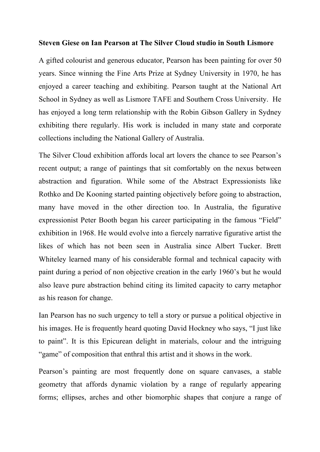## **Steven Giese on Ian Pearson at The Silver Cloud studio in South Lismore**

A gifted colourist and generous educator, Pearson has been painting for over 50 years. Since winning the Fine Arts Prize at Sydney University in 1970, he has enjoyed a career teaching and exhibiting. Pearson taught at the National Art School in Sydney as well as Lismore TAFE and Southern Cross University. He has enjoyed a long term relationship with the Robin Gibson Gallery in Sydney exhibiting there regularly. His work is included in many state and corporate collections including the National Gallery of Australia.

The Silver Cloud exhibition affords local art lovers the chance to see Pearson's recent output; a range of paintings that sit comfortably on the nexus between abstraction and figuration. While some of the Abstract Expressionists like Rothko and De Kooning started painting objectively before going to abstraction, many have moved in the other direction too. In Australia, the figurative expressionist Peter Booth began his career participating in the famous "Field" exhibition in 1968. He would evolve into a fiercely narrative figurative artist the likes of which has not been seen in Australia since Albert Tucker. Brett Whiteley learned many of his considerable formal and technical capacity with paint during a period of non objective creation in the early 1960's but he would also leave pure abstraction behind citing its limited capacity to carry metaphor as his reason for change.

Ian Pearson has no such urgency to tell a story or pursue a political objective in his images. He is frequently heard quoting David Hockney who says, "I just like to paint". It is this Epicurean delight in materials, colour and the intriguing "game" of composition that enthral this artist and it shows in the work.

Pearson's painting are most frequently done on square canvases, a stable geometry that affords dynamic violation by a range of regularly appearing forms; ellipses, arches and other biomorphic shapes that conjure a range of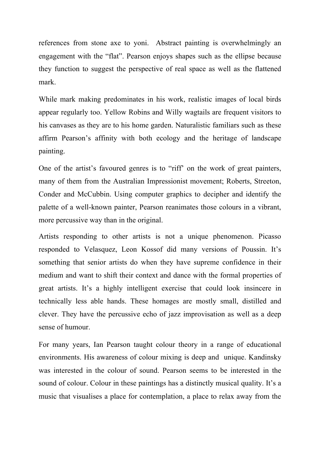references from stone axe to yoni. Abstract painting is overwhelmingly an engagement with the "flat". Pearson enjoys shapes such as the ellipse because they function to suggest the perspective of real space as well as the flattened mark.

While mark making predominates in his work, realistic images of local birds appear regularly too. Yellow Robins and Willy wagtails are frequent visitors to his canvases as they are to his home garden. Naturalistic familiars such as these affirm Pearson's affinity with both ecology and the heritage of landscape painting.

One of the artist's favoured genres is to "riff' on the work of great painters, many of them from the Australian Impressionist movement; Roberts, Streeton, Conder and McCubbin. Using computer graphics to decipher and identify the palette of a well-known painter, Pearson reanimates those colours in a vibrant, more percussive way than in the original.

Artists responding to other artists is not a unique phenomenon. Picasso responded to Velasquez, Leon Kossof did many versions of Poussin. It's something that senior artists do when they have supreme confidence in their medium and want to shift their context and dance with the formal properties of great artists. It's a highly intelligent exercise that could look insincere in technically less able hands. These homages are mostly small, distilled and clever. They have the percussive echo of jazz improvisation as well as a deep sense of humour.

For many years, Ian Pearson taught colour theory in a range of educational environments. His awareness of colour mixing is deep and unique. Kandinsky was interested in the colour of sound. Pearson seems to be interested in the sound of colour. Colour in these paintings has a distinctly musical quality. It's a music that visualises a place for contemplation, a place to relax away from the